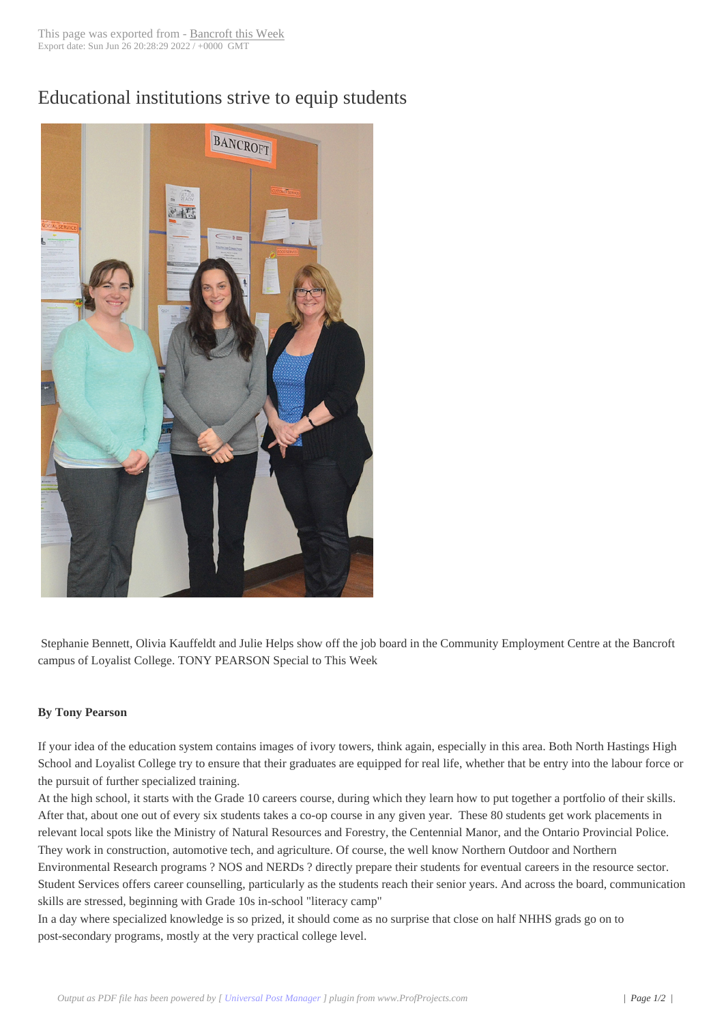## Educational institu[tions strive to](http://www.bancroftthisweek.com/?p=5968) equip students



Stephanie Bennett, Olivia Kauffeldt and Julie Helps show off the job board in the Community Employment Centre at the Bancroft campus of Loyalist College. TONY PEARSON Special to This Week

## **By Tony Pearson**

If your idea of the education system contains images of ivory towers, think again, especially in this area. Both North Hastings High School and Loyalist College try to ensure that their graduates are equipped for real life, whether that be entry into the labour force or the pursuit of further specialized training.

At the high school, it starts with the Grade 10 careers course, during which they learn how to put together a portfolio of their skills. After that, about one out of every six students takes a co-op course in any given year. These 80 students get work placements in relevant local spots like the Ministry of Natural Resources and Forestry, the Centennial Manor, and the Ontario Provincial Police. They work in construction, automotive tech, and agriculture. Of course, the well know Northern Outdoor and Northern Environmental Research programs ? NOS and NERDs ? directly prepare their students for eventual careers in the resource sector. Student Services offers career counselling, particularly as the students reach their senior years. And across the board, communication skills are stressed, beginning with Grade 10s in-school "literacy camp"

In a day where specialized knowledge is so prized, it should come as no surprise that close on half NHHS grads go on to post-secondary programs, mostly at the very practical college level.